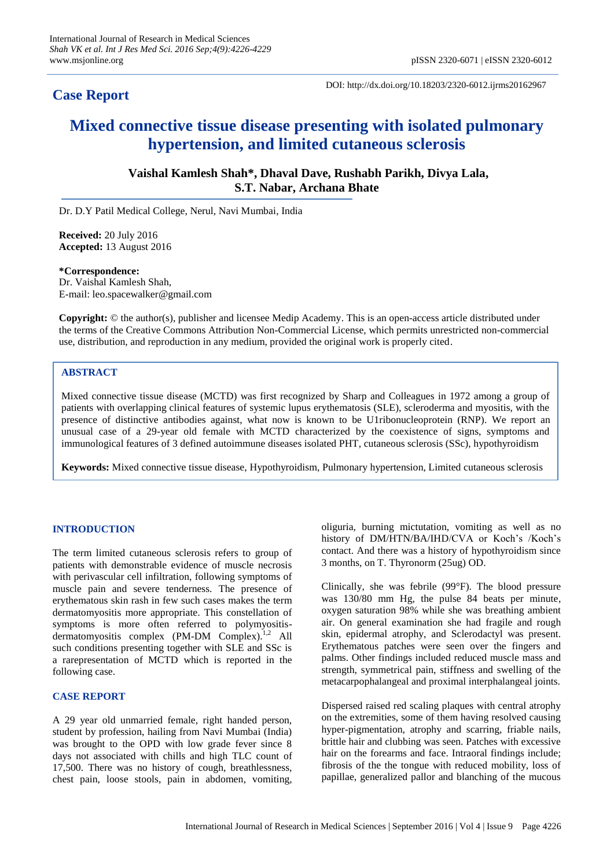# **Case Report**

DOI: http://dx.doi.org/10.18203/2320-6012.ijrms20162967

# **Mixed connective tissue disease presenting with isolated pulmonary hypertension, and limited cutaneous sclerosis**

**Vaishal Kamlesh Shah\*, Dhaval Dave, Rushabh Parikh, Divya Lala, S.T. Nabar, Archana Bhate**

Dr. D.Y Patil Medical College, Nerul, Navi Mumbai, India

**Received:** 20 July 2016 **Accepted:** 13 August 2016

#### **\*Correspondence:**

Dr. Vaishal Kamlesh Shah, E-mail: leo.spacewalker@gmail.com

**Copyright:** © the author(s), publisher and licensee Medip Academy. This is an open-access article distributed under the terms of the Creative Commons Attribution Non-Commercial License, which permits unrestricted non-commercial use, distribution, and reproduction in any medium, provided the original work is properly cited.

### **ABSTRACT**

Mixed connective tissue disease (MCTD) was first recognized by Sharp and Colleagues in 1972 among a group of patients with overlapping clinical features of systemic lupus erythematosis (SLE), scleroderma and myositis, with the presence of distinctive antibodies against, what now is known to be U1ribonucleoprotein (RNP). We report an unusual case of a 29-year old female with MCTD characterized by the coexistence of signs, symptoms and immunological features of 3 defined autoimmune diseases isolated PHT, cutaneous sclerosis (SSc), hypothyroidism

**Keywords:** Mixed connective tissue disease, Hypothyroidism, Pulmonary hypertension, Limited cutaneous sclerosis

### **INTRODUCTION**

The term limited cutaneous sclerosis refers to group of patients with demonstrable evidence of muscle necrosis with perivascular cell infiltration, following symptoms of muscle pain and severe tenderness. The presence of erythematous skin rash in few such cases makes the term dermatomyositis more appropriate. This constellation of symptoms is more often referred to polymyositisdermatomyositis complex (PM-DM Complex).<sup>1,2</sup> All such conditions presenting together with SLE and SSc is a rarepresentation of MCTD which is reported in the following case.

## **CASE REPORT**

A 29 year old unmarried female, right handed person, student by profession, hailing from Navi Mumbai (India) was brought to the OPD with low grade fever since 8 days not associated with chills and high TLC count of 17,500. There was no history of cough, breathlessness, chest pain, loose stools, pain in abdomen, vomiting,

oliguria, burning mictutation, vomiting as well as no history of DM/HTN/BA/IHD/CVA or Koch's /Koch's contact. And there was a history of hypothyroidism since 3 months, on T. Thyronorm (25ug) OD.

Clinically, she was febrile (99°F). The blood pressure was 130/80 mm Hg, the pulse 84 beats per minute, oxygen saturation 98% while she was breathing ambient air. On general examination she had fragile and rough skin, epidermal atrophy, and Sclerodactyl was present. Erythematous patches were seen over the fingers and palms. Other findings included reduced muscle mass and strength, symmetrical pain, stiffness and swelling of the metacarpophalangeal and proximal interphalangeal joints.

Dispersed raised red scaling plaques with central atrophy on the extremities, some of them having resolved causing hyper-pigmentation, atrophy and scarring, friable nails, brittle hair and clubbing was seen. Patches with excessive hair on the forearms and face. Intraoral findings include; fibrosis of the the tongue with reduced mobility, loss of papillae, generalized pallor and blanching of the mucous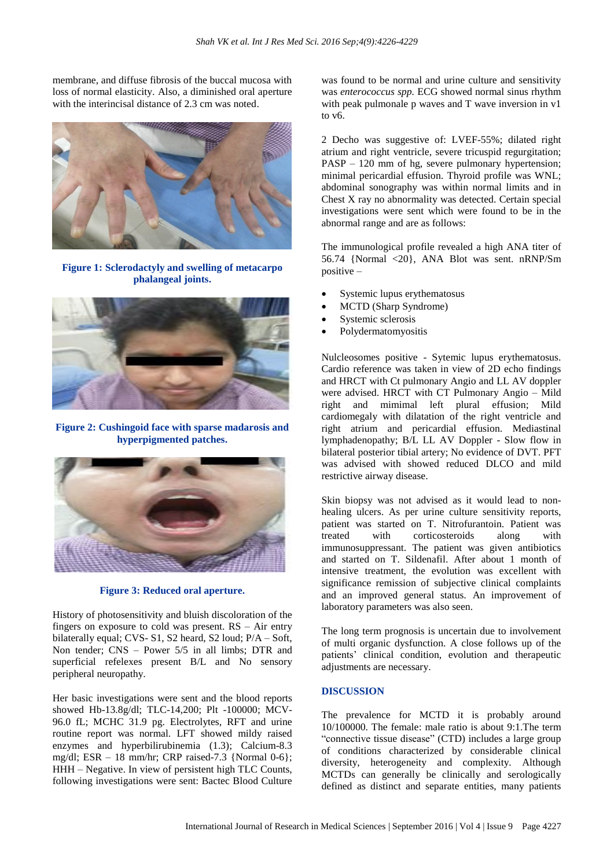membrane, and diffuse fibrosis of the buccal mucosa with loss of normal elasticity. Also, a diminished oral aperture with the interincisal distance of 2.3 cm was noted.



**Figure 1: Sclerodactyly and swelling of metacarpo phalangeal joints.**



**Figure 2: Cushingoid face with sparse madarosis and hyperpigmented patches.**



**Figure 3: Reduced oral aperture.**

History of photosensitivity and bluish discoloration of the fingers on exposure to cold was present.  $RS - Air$  entry bilaterally equal; CVS- S1, S2 heard, S2 loud; P/A – Soft, Non tender; CNS – Power 5/5 in all limbs; DTR and superficial refelexes present B/L and No sensory peripheral neuropathy.

Her basic investigations were sent and the blood reports showed Hb-13.8g/dl; TLC-14,200; Plt -100000; MCV-96.0 fL; MCHC 31.9 pg. Electrolytes, RFT and urine routine report was normal. LFT showed mildy raised enzymes and hyperbilirubinemia (1.3); Calcium-8.3 mg/dl; ESR  $-18$  mm/hr; CRP raised-7.3 {Normal 0-6}; HHH – Negative. In view of persistent high TLC Counts, following investigations were sent: Bactec Blood Culture

was found to be normal and urine culture and sensitivity was *enterococcus spp.* ECG showed normal sinus rhythm with peak pulmonale p waves and T wave inversion in v1 to v6.

2 Decho was suggestive of: LVEF-55%; dilated right atrium and right ventricle, severe tricuspid regurgitation; PASP – 120 mm of hg, severe pulmonary hypertension; minimal pericardial effusion. Thyroid profile was WNL; abdominal sonography was within normal limits and in Chest X ray no abnormality was detected. Certain special investigations were sent which were found to be in the abnormal range and are as follows:

The immunological profile revealed a high ANA titer of 56.74 {Normal <20}, ANA Blot was sent. nRNP/Sm positive –

- Systemic lupus erythematosus
- MCTD (Sharp Syndrome)
- Systemic sclerosis
- Polydermatomyositis

Nulcleosomes positive - Sytemic lupus erythematosus. Cardio reference was taken in view of 2D echo findings and HRCT with Ct pulmonary Angio and LL AV doppler were advised. HRCT with CT Pulmonary Angio – Mild right and mimimal left plural effusion; Mild cardiomegaly with dilatation of the right ventricle and right atrium and pericardial effusion. Mediastinal lymphadenopathy; B/L LL AV Doppler - Slow flow in bilateral posterior tibial artery; No evidence of DVT. PFT was advised with showed reduced DLCO and mild restrictive airway disease.

Skin biopsy was not advised as it would lead to nonhealing ulcers. As per urine culture sensitivity reports, patient was started on T. Nitrofurantoin. Patient was treated with corticosteroids along with immunosuppressant. The patient was given antibiotics and started on T. Sildenafil. After about 1 month of intensive treatment, the evolution was excellent with significance remission of subjective clinical complaints and an improved general status. An improvement of laboratory parameters was also seen.

The long term prognosis is uncertain due to involvement of multi organic dysfunction. A close follows up of the patients' clinical condition, evolution and therapeutic adjustments are necessary.

#### **DISCUSSION**

The prevalence for MCTD it is probably around 10/100000. The female: male ratio is about 9:1.The term "connective tissue disease" (CTD) includes a large group of conditions characterized by considerable clinical diversity, heterogeneity and complexity. Although MCTDs can generally be clinically and serologically defined as distinct and separate entities, many patients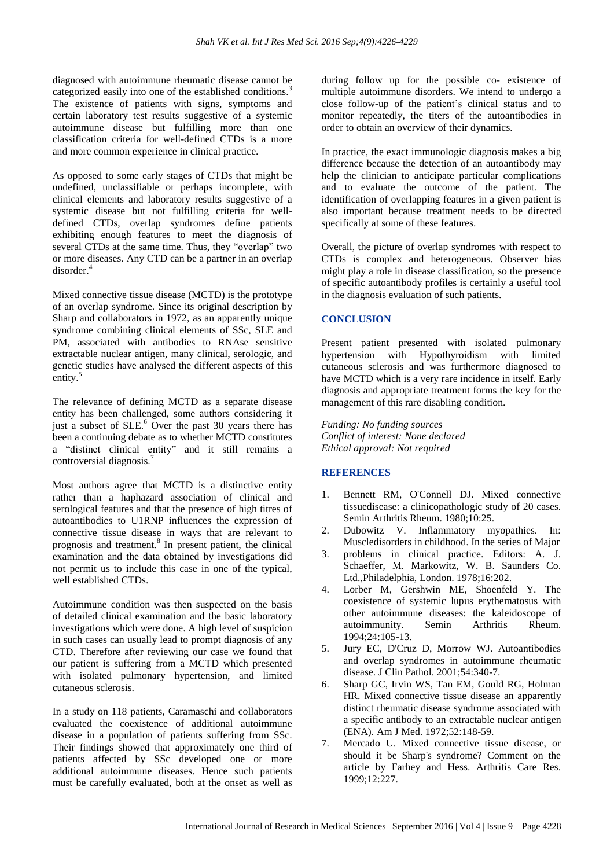diagnosed with autoimmune rheumatic disease cannot be categorized easily into one of the established conditions.<sup>3</sup> The existence of patients with signs, symptoms and certain laboratory test results suggestive of a systemic autoimmune disease but fulfilling more than one classification criteria for well-defined CTDs is a more and more common experience in clinical practice.

As opposed to some early stages of CTDs that might be undefined, unclassifiable or perhaps incomplete, with clinical elements and laboratory results suggestive of a systemic disease but not fulfilling criteria for welldefined CTDs, overlap syndromes define patients exhibiting enough features to meet the diagnosis of several CTDs at the same time. Thus, they "overlap" two or more diseases. Any CTD can be a partner in an overlap disorder<sup>4</sup>

Mixed connective tissue disease (MCTD) is the prototype of an overlap syndrome. Since its original description by Sharp and collaborators in 1972, as an apparently unique syndrome combining clinical elements of SSc, SLE and PM, associated with antibodies to RNAse sensitive extractable nuclear antigen, many clinical, serologic, and genetic studies have analysed the different aspects of this entity.<sup>5</sup>

The relevance of defining MCTD as a separate disease entity has been challenged, some authors considering it just a subset of  $SLE<sup>6</sup>$  Over the past 30 years there has been a continuing debate as to whether MCTD constitutes a "distinct clinical entity" and it still remains a controversial diagnosis.<sup>7</sup>

Most authors agree that MCTD is a distinctive entity rather than a haphazard association of clinical and serological features and that the presence of high titres of autoantibodies to U1RNP influences the expression of connective tissue disease in ways that are relevant to prognosis and treatment.<sup>8</sup> In present patient, the clinical examination and the data obtained by investigations did not permit us to include this case in one of the typical, well established CTDs.

Autoimmune condition was then suspected on the basis of detailed clinical examination and the basic laboratory investigations which were done. A high level of suspicion in such cases can usually lead to prompt diagnosis of any CTD. Therefore after reviewing our case we found that our patient is suffering from a MCTD which presented with isolated pulmonary hypertension, and limited cutaneous sclerosis.

In a study on 118 patients, Caramaschi and collaborators evaluated the coexistence of additional autoimmune disease in a population of patients suffering from SSc. Their findings showed that approximately one third of patients affected by SSc developed one or more additional autoimmune diseases. Hence such patients must be carefully evaluated, both at the onset as well as during follow up for the possible co- existence of multiple autoimmune disorders. We intend to undergo a close follow-up of the patient's clinical status and to monitor repeatedly, the titers of the autoantibodies in order to obtain an overview of their dynamics.

In practice, the exact immunologic diagnosis makes a big difference because the detection of an autoantibody may help the clinician to anticipate particular complications and to evaluate the outcome of the patient. The identification of overlapping features in a given patient is also important because treatment needs to be directed specifically at some of these features.

Overall, the picture of overlap syndromes with respect to CTDs is complex and heterogeneous. Observer bias might play a role in disease classification, so the presence of specific autoantibody profiles is certainly a useful tool in the diagnosis evaluation of such patients.

### **CONCLUSION**

Present patient presented with isolated pulmonary hypertension with Hypothyroidism with limited cutaneous sclerosis and was furthermore diagnosed to have MCTD which is a very rare incidence in itself. Early diagnosis and appropriate treatment forms the key for the management of this rare disabling condition.

*Funding: No funding sources Conflict of interest: None declared Ethical approval: Not required*

### **REFERENCES**

- 1. Bennett RM, O'Connell DJ. Mixed connective tissuedisease: a clinicopathologic study of 20 cases. Semin Arthritis Rheum. 1980;10:25.
- 2. Dubowitz V. Inflammatory myopathies. In: Muscledisorders in childhood. In the series of Major
- 3. problems in clinical practice. Editors: A. J. Schaeffer, M. Markowitz, W. B. Saunders Co. Ltd.,Philadelphia, London. 1978;16:202.
- 4. Lorber M, Gershwin ME, Shoenfeld Y. The coexistence of systemic lupus erythematosus with other autoimmune diseases: the kaleidoscope of autoimmunity. Semin Arthritis Rheum. 1994;24:105-13.
- 5. Jury EC, D'Cruz D, Morrow WJ. Autoantibodies and overlap syndromes in autoimmune rheumatic disease. J Clin Pathol. 2001;54:340-7.
- 6. Sharp GC, Irvin WS, Tan EM, Gould RG, Holman HR. Mixed connective tissue disease an apparently distinct rheumatic disease syndrome associated with a specific antibody to an extractable nuclear antigen (ENA). Am J Med. 1972;52:148-59.
- 7. Mercado U. Mixed connective tissue disease, or should it be Sharp's syndrome? Comment on the article by Farhey and Hess. Arthritis Care Res. 1999;12:227.